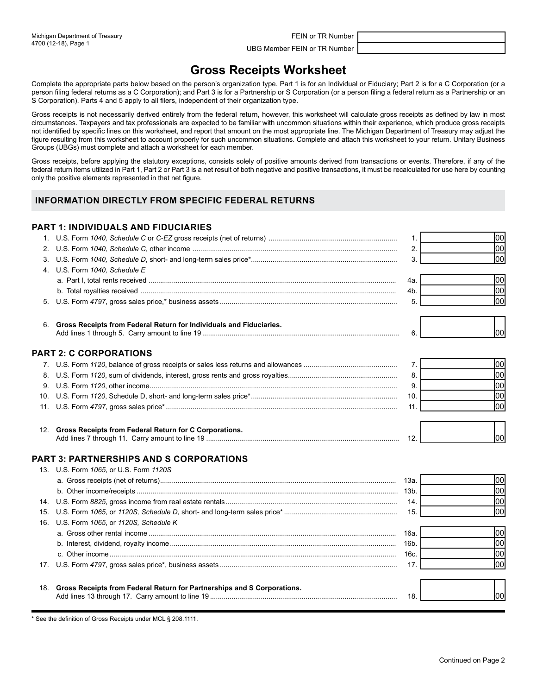UBG Member FEIN or TR Number

## **Gross Receipts Worksheet**

Complete the appropriate parts below based on the person's organization type. Part 1 is for an Individual or Fiduciary; Part 2 is for a C Corporation (or a person filing federal returns as a C Corporation); and Part 3 is for a Partnership or S Corporation (or a person filing a federal return as a Partnership or an S Corporation). Parts 4 and 5 apply to all filers, independent of their organization type.

 Gross receipts is not necessarily derived entirely from the federal return, however, this worksheet will calculate gross receipts as defined by law in most circumstances. Taxpayers and tax professionals are expected to be familiar with uncommon situations within their experience, which produce gross receipts not identified by specific lines on this worksheet, and report that amount on the most appropriate line. The Michigan Department of Treasury may adjust the figure resulting from this worksheet to account properly for such uncommon situations. Complete and attach this worksheet to your return. Unitary Business Groups (UBGs) must complete and attach a worksheet for each member.

Gross receipts, before applying the statutory exceptions, consists solely of positive amounts derived from transactions or events. Therefore, if any of the federal return items utilized in Part 1, Part 2 or Part 3 is a net result of both negative and positive transactions, it must be recalculated for use here by counting only the positive elements represented in that net figure.

## **INFORMATION DIRECTLY FROM SPECIFIC FEDERAL RETURNS**

### **PART 1: INDIVIDUALS AND FIDUCIARIES**

|    |                                                                             | 1.   | lool |
|----|-----------------------------------------------------------------------------|------|------|
| 2. |                                                                             | 2.   | 00   |
| 3. |                                                                             | 3.   | lool |
| 4. | U.S. Form 1040, Schedule E                                                  |      |      |
|    |                                                                             | 4a.  | 00   |
|    |                                                                             | 4b.  | 00   |
| 5. |                                                                             | 5.   | lool |
|    | 6. Gross Receipts from Federal Return for Individuals and Fiduciaries.      | 6.   | lool |
|    | <b>PART 2: C CORPORATIONS</b>                                               |      |      |
|    |                                                                             | 7.   | 00   |
| 8. |                                                                             | 8.   | lool |
| 9. |                                                                             | 9.   | 00   |
|    |                                                                             | 10.  | lool |
|    |                                                                             | 11.  | lool |
|    | 12. Gross Receipts from Federal Return for C Corporations.                  | 12.  | lool |
|    | <b>PART 3: PARTNERSHIPS AND S CORPORATIONS</b>                              |      |      |
|    | 13. U.S. Form 1065, or U.S. Form 1120S                                      |      |      |
|    |                                                                             | 13а. | 00   |
|    |                                                                             |      | lool |
|    |                                                                             | 14.  | lool |
|    |                                                                             | 15.  | lool |
|    | 16. U.S. Form 1065, or 1120S, Schedule K                                    |      |      |
|    |                                                                             | 16a. | lool |
|    |                                                                             |      | lool |
|    |                                                                             | 16c. | lool |
|    |                                                                             | 17.  | lool |
|    | 18. Gross Receipts from Federal Return for Partnerships and S Corporations. |      |      |
|    |                                                                             | 18.  | lool |

\* See the definition of Gross Receipts under MCL § 208.1111.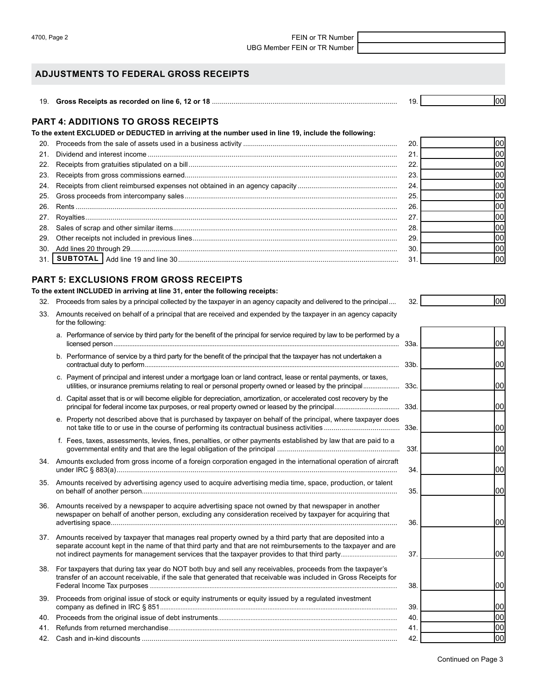4700, Page 2 FEIN or TR Number UBG Member FEIN or TR Number

### **ADJUSTMENTS TO FEDERAL GROSS RECEIPTS**

| <sup>1</sup> . Gross Receipts as recorded on line 6. 12 or 18 |  |
|---------------------------------------------------------------|--|
|                                                               |  |

### **PART 4: ADDITIONS TO GROSS RECEIPTS**

**To the extent EXCLUDED or DEDUCTED in arriving at the number used in line 19, include the following:** 

|     | 20 | 100I |
|-----|----|------|
| 21  | 21 | 100I |
|     | 22 | 1001 |
| 23. | 23 | 100I |
|     | 24 | 100I |
|     | 25 | lool |
|     | 26 | 1001 |
| 27. | 27 | 100I |
|     | 28 | 1001 |
| 29. | 29 | 1001 |
| 30. | 30 | 1001 |
| 31  | 31 | 100I |

### **PART 5: EXCLUSIONS FROM GROSS RECEIPTS**

**To the extent INCLUDED in arriving at line 31, enter the following receipts:** 

- 32. Proceeds from sales by a principal collected by the taxpayer in an agency capacity and delivered to the principal.... 32.
- 33. Amounts received on behalf of a principal that are received and expended by the taxpayer in an agency capacity for the following:
	- a. Performance of service by third party for the benefit of the principal for service required by law to be performed by a licensed person.................................................................................................................................................................... 33a.
	- b. Performance of service by a third party for the benefit of the principal that the taxpayer has not undertaken a contractual duty to perform...
	- c. Payment of principal and interest under a mortgage loan or land contract, lease or rental payments, or taxes, utilities, or insurance premiums relating to real or personal property owned or leased by the principal...................
	- d. Capital asset that is or will become eligible for depreciation, amortization, or accelerated cost recovery by the principal for federal income tax purposes, or real property owned or leased by the principal.................................... 33d.
	- e. Property not described above that is purchased by taxpayer on behalf of the principal, where taxpayer does not take title to or use in the course of performing its contractual business activities ....................................... 33e.
	- f. Fees, taxes, assessments, levies, fines, penalties, or other payments established by law that are paid to a governmental entity and that are the legal obligation of the principal ............................................................... 33f.
- 34. Amounts excluded from gross income of a foreign corporation engaged in the international operation of aircraft under IRC § 883(a)................................................................................................................................................ 34. 35. Amounts received by advertising agency used to acquire advertising media time, space, production, or talent on behalf of another person................................................................................................................................... 35.
- 36. Amounts received by a newspaper to acquire advertising space not owned by that newspaper in another newspaper on behalf of another person, excluding any consideration received by taxpayer for acquiring that advertising space................................................................................................................................................... 36.
- 37. Amounts received by taxpayer that manages real property owned by a third party that are deposited into a separate account kept in the name of that third party and that are not reimbursements to the taxpayer and are not indirect payments for management services that the taxpayer provides to that third party.....
- 38. For taxpayers that during tax year do NOT both buy and sell any receivables, proceeds from the taxpayer's transfer of an account receivable, if the sale that generated that receivable was included in Gross Receipts for Federal Income Tax purposes ................................................................................................................................................. 38.

| 39. Proceeds from original issue of stock or equity instruments or equity issued by a regulated investment |      |
|------------------------------------------------------------------------------------------------------------|------|
|                                                                                                            | -39. |
|                                                                                                            | 40.  |
|                                                                                                            |      |
|                                                                                                            | 42.  |

00

| $2^r$ |  |
|-------|--|
|       |  |
|       |  |

| 33a. | 00              |
|------|-----------------|
| 33b. | 00              |
| 33c. | 00              |
| 33d. | 00              |
| 33e. | 00              |
| 33f. | 00              |
| 34.  | 00              |
| 35.  | 00              |
| 36.  | 00              |
| 37.  | $\overline{0}$  |
| 38.  | $\overline{00}$ |
| 39.  | 00              |
| 40.  | 00              |
| 41.  | 00              |
| 42.  | 00              |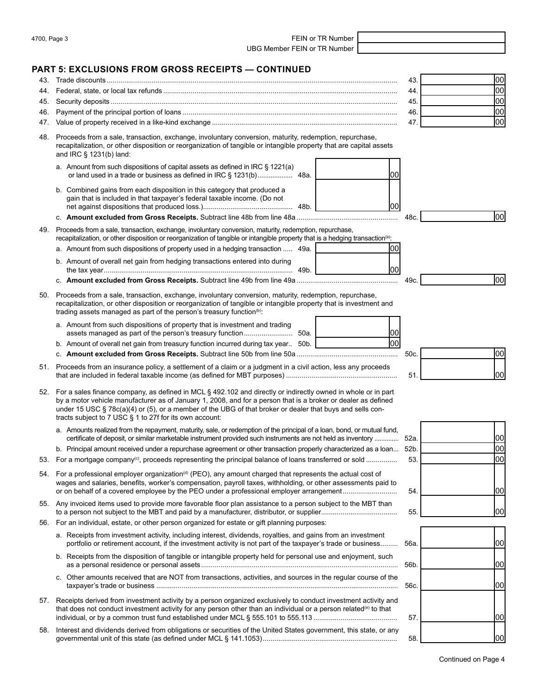| 4700, Page 3 |  |  |
|--------------|--|--|
|--------------|--|--|

FEIN or TR Number UBG Member FEIN or TR Number

# **PART 5: EXCLUSIONS FROM GROSS RECEIPTS — CONTINUED**

| 43. | ARI 5: EXCLUSIONS FROM GROSS RECEIP I S — CONTINUED                                                                                                                                                                                                                                                                                                                                                              | 43.  | 00   |
|-----|------------------------------------------------------------------------------------------------------------------------------------------------------------------------------------------------------------------------------------------------------------------------------------------------------------------------------------------------------------------------------------------------------------------|------|------|
| 44. |                                                                                                                                                                                                                                                                                                                                                                                                                  | 44.  | 00   |
| 45. |                                                                                                                                                                                                                                                                                                                                                                                                                  | 45.  | 00   |
| 46. |                                                                                                                                                                                                                                                                                                                                                                                                                  | 46.  | 00   |
| 47. |                                                                                                                                                                                                                                                                                                                                                                                                                  | 47.  | lool |
| 48. | Proceeds from a sale, transaction, exchange, involuntary conversion, maturity, redemption, repurchase,<br>recapitalization, or other disposition or reorganization of tangible or intangible property that are capital assets<br>and IRC § 1231(b) land:                                                                                                                                                         |      |      |
|     | a. Amount from such dispositions of capital assets as defined in IRC § 1221(a)<br>00                                                                                                                                                                                                                                                                                                                             |      |      |
|     | b. Combined gains from each disposition in this category that produced a<br>gain that is included in that taxpayer's federal taxable income. (Do not<br> 00                                                                                                                                                                                                                                                      |      |      |
|     |                                                                                                                                                                                                                                                                                                                                                                                                                  | 48c. | 00   |
| 49. | Proceeds from a sale, transaction, exchange, involuntary conversion, maturity, redemption, repurchase,<br>recapitalization, or other disposition or reorganization of tangible or intangible property that is a hedging transaction <sup>(a)</sup> :                                                                                                                                                             |      |      |
|     | 00<br>a. Amount from such dispositions of property used in a hedging transaction  49a.                                                                                                                                                                                                                                                                                                                           |      |      |
|     | b. Amount of overall net gain from hedging transactions entered into during<br> 00                                                                                                                                                                                                                                                                                                                               |      |      |
|     |                                                                                                                                                                                                                                                                                                                                                                                                                  | 49c. | 00   |
| 50. | Proceeds from a sale, transaction, exchange, involuntary conversion, maturity, redemption, repurchase,<br>recapitalization, or other disposition or reorganization of tangible or intangible property that is investment and<br>trading assets managed as part of the person's treasury function <sup>(b)</sup> :                                                                                                |      |      |
|     | a. Amount from such dispositions of property that is investment and trading<br> 00                                                                                                                                                                                                                                                                                                                               |      |      |
|     | 00 <br>b. Amount of overall net gain from treasury function incurred during tax year 50b.                                                                                                                                                                                                                                                                                                                        |      |      |
|     |                                                                                                                                                                                                                                                                                                                                                                                                                  | 50c. | 00   |
|     | 51. Proceeds from an insurance policy, a settlement of a claim or a judgment in a civil action, less any proceeds                                                                                                                                                                                                                                                                                                | 51   | 00   |
|     | 52. For a sales finance company, as defined in MCL § 492.102 and directly or indirectly owned in whole or in part<br>by a motor vehicle manufacturer as of January 1, 2008, and for a person that is a broker or dealer as defined<br>under 15 USC $\S$ 78 $c(a)(4)$ or (5), or a member of the UBG of that broker or dealer that buys and sells con-<br>tracts subject to 7 USC § 1 to 27f for its own account: |      |      |
|     | a. Amounts realized from the repayment, maturity, sale, or redemption of the principal of a loan, bond, or mutual fund,<br>certificate of deposit, or similar marketable instrument provided such instruments are not held as inventory  52a.                                                                                                                                                                    |      | 00   |
|     | b. Principal amount received under a repurchase agreement or other transaction properly characterized as a loan 52b.                                                                                                                                                                                                                                                                                             |      | 00   |
| 53. | For a mortgage company <sup>(c)</sup> , proceeds representing the principal balance of loans transferred or sold                                                                                                                                                                                                                                                                                                 | 53.  | lool |
|     | 54. For a professional employer organization <sup>(d)</sup> (PEO), any amount charged that represents the actual cost of<br>wages and salaries, benefits, worker's compensation, payroll taxes, withholding, or other assessments paid to<br>or on behalf of a covered employee by the PEO under a professional employer arrangement                                                                             | 54.  | 00   |
|     | 55. Any invoiced items used to provide more favorable floor plan assistance to a person subject to the MBT than                                                                                                                                                                                                                                                                                                  | 55.  | 00   |
|     | 56. For an individual, estate, or other person organized for estate or gift planning purposes:                                                                                                                                                                                                                                                                                                                   |      |      |
|     | a. Receipts from investment activity, including interest, dividends, royalties, and gains from an investment<br>portfolio or retirement account, if the investment activity is not part of the taxpayer's trade or business                                                                                                                                                                                      | 56a. | 00   |
|     | b. Receipts from the disposition of tangible or intangible property held for personal use and enjoyment, such                                                                                                                                                                                                                                                                                                    | 56b. | 00   |
|     | c. Other amounts received that are NOT from transactions, activities, and sources in the regular course of the                                                                                                                                                                                                                                                                                                   | 56c. | 00   |
|     |                                                                                                                                                                                                                                                                                                                                                                                                                  |      |      |
|     | 57. Receipts derived from investment activity by a person organized exclusively to conduct investment activity and<br>that does not conduct investment activity for any person other than an individual or a person related <sup>(e)</sup> to that                                                                                                                                                               | 57.  | 1001 |
| 58. | Interest and dividends derived from obligations or securities of the United States government, this state, or any                                                                                                                                                                                                                                                                                                | 58.  | 00   |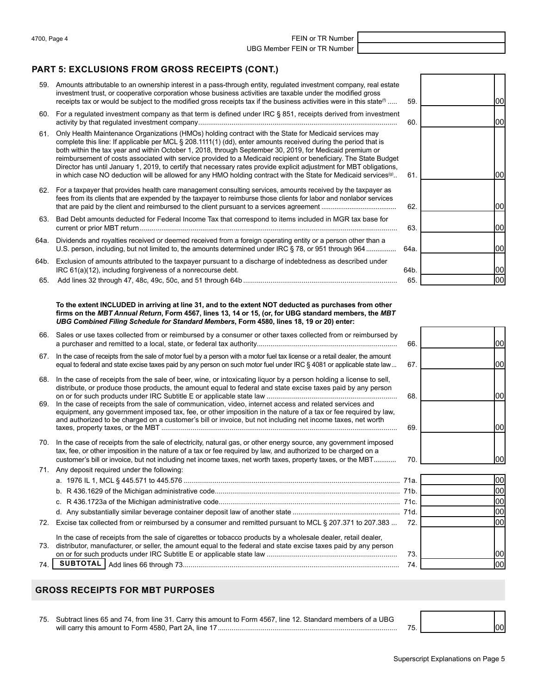4700, Page 4 **FEIN** or TR Number

UBG Member FEIN or TR Number

## **PART 5: EXCLUSIONS FROM GROSS RECEIPTS (CONT.)**

- 59. Amounts attributable to an ownership interest in a pass-through entity, regulated investment company, real estate investment trust, or cooperative corporation whose business activities are taxable under the modified gross receipts tax or would be subject to the modified gross receipts tax if the business activities were in this state $\mathbf{^{\text{0}}}$  .....
- 60. For a regulated investment company as that term is defined under IRC § 851, receipts derived from investment activity by that regulated investment company......................................................................................................
- 61. Only Health Maintenance Organizations (HMOs) holding contract with the State for Medicaid services may complete this line: If applicable per MCL § 208.1111(1) (dd), enter amounts received during the period that is both within the tax year and within October 1, 2018, through September 30, 2019, for Medicaid premium or reimbursement of costs associated with service provided to a Medicaid recipient or beneficiary. The State Budget Director has until January 1, 2019, to certify that necessary rates provide explicit adjustment for MBT obligations, in which case NO deduction will be allowed for any HMO holding contract with the State for Medicaid services $\omega$ .
- 62. For a taxpayer that provides health care management consulting services, amounts received by the taxpayer as fees from its clients that are expended by the taxpayer to reimburse those clients for labor and nonlabor services that are paid by the client and reimbursed to the client pursuant to a services agreement ........................................
- 63. Bad Debt amounts deducted for Federal Income Tax that correspond to items included in MGR tax base for current or prior MBT return ....................................................................................................................................
- 64a. Dividends and royalties received or deemed received from a foreign operating entity or a person other than a U.S. person, including, but not limited to, the amounts determined under IRC § 78, or 951 through 964.....
- 64b. Exclusion of amounts attributed to the taxpayer pursuant to a discharge of indebtedness as described under IRC 61(a)(12), including forgiveness of a nonrecourse debt.
- 65. Add lines 32 through 47, 48c, 49c, 50c, and 51 through 64b ...............................................................................

#### **To the extent INCLUDED in arriving at line 31, and to the extent NOT deducted as purchases from other firms on the** *MBT Annual Return***, Form 4567, lines 13, 14 or 15, (or, for UBG standard members, the** *MBT UBG Combined Filing Schedule for Standard Members***, Form 4580, lines 18, 19 or 20) enter:**

- 66. Sales or use taxes collected from or reimbursed by a consumer or other taxes collected from or reimbursed by a purchaser and remitted to a local, state, or federal tax authority........................................................................ 66.
- 67. In the case of receipts from the sale of motor fuel by a person with a motor fuel tax license or a retail dealer, the amount equal to federal and state excise taxes paid by any person on such motor fuel under IRC § 4081 or applicable state law... 67.
- 68. In the case of receipts from the sale of beer, wine, or intoxicating liquor by a person holding a license to sell, distribute, or produce those products, the amount equal to federal and state excise taxes paid by any person on or for such products under IRC Subtitle E or applicable state law ................................................................... 68.
- 69. In the case of receipts from the sale of communication, video, internet access and related services and equipment, any government imposed tax, fee, or other imposition in the nature of a tax or fee required by law, and authorized to be charged on a customer's bill or invoice, but not including net income taxes, net worth taxes, property taxes, or the MBT ......................................................................................................................... 69.
- 70. In the case of receipts from the sale of electricity, natural gas, or other energy source, any government imposed tax, fee, or other imposition in the nature of a tax or fee required by law, and authorized to be charged on a customer's bill or invoice, but not including net income taxes, net worth taxes, property taxes, or the MBT............ 70.

### 71. Any deposit required under the following: a. 1976 IL 1, MCL § 445.571 to 445.576 ............................................................................................................... 71a.

b. R 436.1629 of the Michigan administrative code............................................................................................... 71b. c. R 436.1723a of the Michigan administrative code............................................................................................. 71c. d. Any substantially similar beverage container deposit law of another state ....................................................... 71d. 72. Excise tax collected from or reimbursed by a consumer and remitted pursuant to MCL § 207.371 to 207.383 ... 72. In the case of receipts from the sale of cigarettes or tobacco products by a wholesale dealer, retail dealer, 73. distributor, manufacturer, or seller, the amount equal to the federal and state excise taxes paid by any person on or for such products under IRC Subtitle E or applicable state law ................................................................... 73. 74. **SUBTOTAL** Add lines 66 through 73............................................................................................................... 74.

| tate                |      |    |
|---------------------|------|----|
|                     | 59.  | 00 |
| ent<br>.            | 60.  | 00 |
|                     |      |    |
| lget<br>ıns,<br>(g) | 61.  | 00 |
| s<br>эs             |      |    |
| .                   | 62.  | 00 |
| .                   | 63.  | 00 |
| .                   | 64a. | 00 |
|                     | 64b. | 00 |
| .                   | 65.  | 00 |





## **GROSS RECEIPTS FOR MBT PURPOSES**

75. Subtract lines 65 and 74, from line 31. Carry this amount to Form 4567, line 12. Standard members of a UBG will carry this amount to Form 4580, Part 2A, line 17............................................................................................

| 75. |  |
|-----|--|